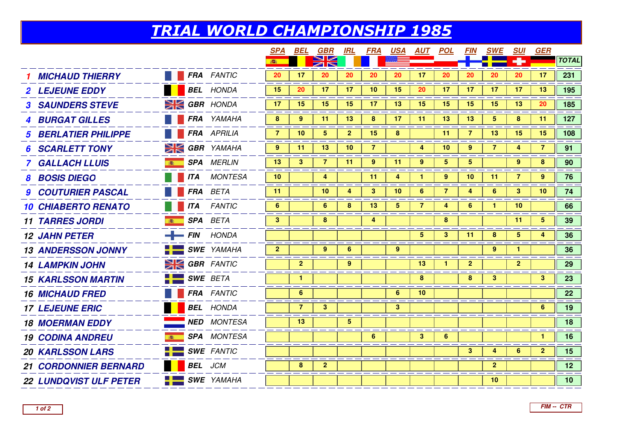## TRIAL WORLD CHAMPIONSHIP 1985

|                               |               |                      | <b>SPA</b>     | BEL            | GBR                     | IRL            | <b>FRA</b>      | <u>USA</u>     | <u>AUT</u>      | <u>POL</u>      | <b>FIN</b>   | <b>SWE</b>      | <b>SUI</b>      | GER             |                 |
|-------------------------------|---------------|----------------------|----------------|----------------|-------------------------|----------------|-----------------|----------------|-----------------|-----------------|--------------|-----------------|-----------------|-----------------|-----------------|
|                               |               |                      | 100            |                |                         |                |                 |                |                 |                 |              |                 |                 |                 | <b>TOTAL</b>    |
| <b>MICHAUD THIERRY</b>        |               | <b>FRA</b> FANTIC    | 20             | 17             | 20                      | 20             | 20              | 20             | 17              | 20              | 20           | 20              | 20              | 17              | 231             |
| <b>2 LEJEUNE EDDY</b>         |               | <b>BEL</b> HONDA     | 15             | 20             | 17                      | 17             | 10 <sup>°</sup> | 15             | 20              | 17              | 17           | 17              | 17              | 13              | 195             |
| <b>3 SAUNDERS STEVE</b>       |               | $\geq$ GBR HONDA     | 17             | 15             | 15                      | 15             | 17 <sub>2</sub> | 13             | 15              | 15              | 15           | 15              | 13              | 20              | 185             |
| <b>4 BURGAT GILLES</b>        |               | <b>FRA</b> YAMAHA    | 8              | 9              | 11                      | 13             | 8               | 17             | 11              | 13              | 13           | 5               | 8               | 11              | 127             |
| <b>BERLATIER PHILIPPE</b>     |               | <b>FRA</b> APRILIA   | $\overline{7}$ | 10             | $\overline{\mathbf{5}}$ | $\mathbf{2}$   | 15              | 8              |                 | 11              | 7            | 13              | 15              | 15              | 108             |
| <b>SCARLETT TONY</b>          |               | $\geq$ GBR YAMAHA    | $9^{\circ}$    | -11            | 13                      | 10             | $\overline{7}$  |                | 4               | 10              | 9            | $\overline{7}$  | 4               | 7               | 91              |
| <b>GALLACH LLUIS</b>          |               | <b>SPA</b> MERLIN    | 13             | 3              | $\overline{7}$          | 11             | 9               | 11             | 9               | $5\overline{)}$ | 5            |                 | 9               | 8               | 90              |
| <b>BOSIS DIEGO</b>            | <b>ITA</b>    | <b>MONTESA</b>       | 10             |                | 4                       |                | 11              | 4              | 1               | 9               | 10           | 11              | $\overline{7}$  | 9               | 76              |
| <b>9 COUTURIER PASCAL</b>     |               | <b>FRA</b> BETA      | 11             |                | 10                      | 4              | 3 <sup>1</sup>  | 10             | 6               | $\overline{7}$  | 4            | 6               | 3 <sup>2</sup>  | 10 <sup>°</sup> | 74              |
| <b>10 CHIABERTO RENATO</b>    | <b>ITA</b>    | <b>FANTIC</b>        | 6              |                | 6                       | 8              | 13              | 5              | $\overline{7}$  | 4               | 6            | 1               | 10              |                 | 66              |
| <b>11 TARRES JORDI</b>        | ( 高)          | <b>SPA</b> BETA      | 3 <sup>1</sup> |                | 8                       |                | 4               |                |                 | 8               |              |                 | 11              | $5^{\circ}$     | 39              |
| <b>12 JAHN PETER</b>          | $-$ FIN HONDA |                      |                |                |                         |                |                 |                | $5\overline{)}$ | $\mathbf{3}$    | 11           | 8               | $5\overline{)}$ | 4               | 36              |
| <b>13 ANDERSSON JONNY</b>     |               | <b>SWE</b> YAMAHA    | $\mathbf{2}$   |                | $9^{\circ}$             | 6              |                 | 9              |                 |                 |              | 9               | $\mathbf{1}$    |                 | 36              |
| <b>14 LAMPKIN JOHN</b>        |               | <b>SK GBR FANTIC</b> |                | $\overline{2}$ |                         | 9              |                 |                | 13              | 1               | $\mathbf{2}$ |                 | $\overline{2}$  |                 | 29              |
| <b>15 KARLSSON MARTIN</b>     |               | <b>SWE BETA</b>      |                | $\mathbf{1}$   |                         |                |                 |                | 8               |                 | 8            | 3 <sup>1</sup>  |                 | 3 <sup>1</sup>  | 23              |
| <b>16 MICHAUD FRED</b>        |               | <b>FRA</b> FANTIC    |                | 6              |                         |                |                 | 6              | 10              |                 |              |                 |                 |                 | 22              |
| <b>17 LEJEUNE ERIC</b>        |               | <b>BEL</b> HONDA     |                | $\overline{7}$ | 3 <sup>2</sup>          |                |                 | 3 <sup>2</sup> |                 |                 |              |                 |                 | 6               | 19              |
| <b>18 MOERMAN EDDY</b>        |               | <b>NED</b> MONTESA   |                | 13             |                         | 5 <sub>5</sub> |                 |                |                 |                 |              |                 |                 |                 | 18              |
| <b>19 CODINA ANDREU</b>       | 商             | <b>SPA</b> MONTESA   |                |                |                         |                | 6               |                | 3               | 6               |              |                 |                 | $\mathbf{1}$    | 16              |
| <b>20 KARLSSON LARS</b>       |               | <b>SWE</b> FANTIC    |                |                |                         |                |                 |                |                 |                 | 3            | 4               | 6               | $\mathbf{2}$    | 15              |
| <b>21 CORDONNIER BERNARD</b>  |               | <b>BEL</b> JCM       |                | 8              | $\overline{2}$          |                |                 |                |                 |                 |              | $\mathbf{2}$    |                 |                 | 12 <sub>2</sub> |
| <b>22 LUNDQVIST ULF PETER</b> |               | <b>SWE</b> YAMAHA    |                |                |                         |                |                 |                |                 |                 |              | 10 <sup>°</sup> |                 |                 | 10 <sup>1</sup> |
|                               |               |                      |                |                |                         |                |                 |                |                 |                 |              |                 |                 |                 |                 |